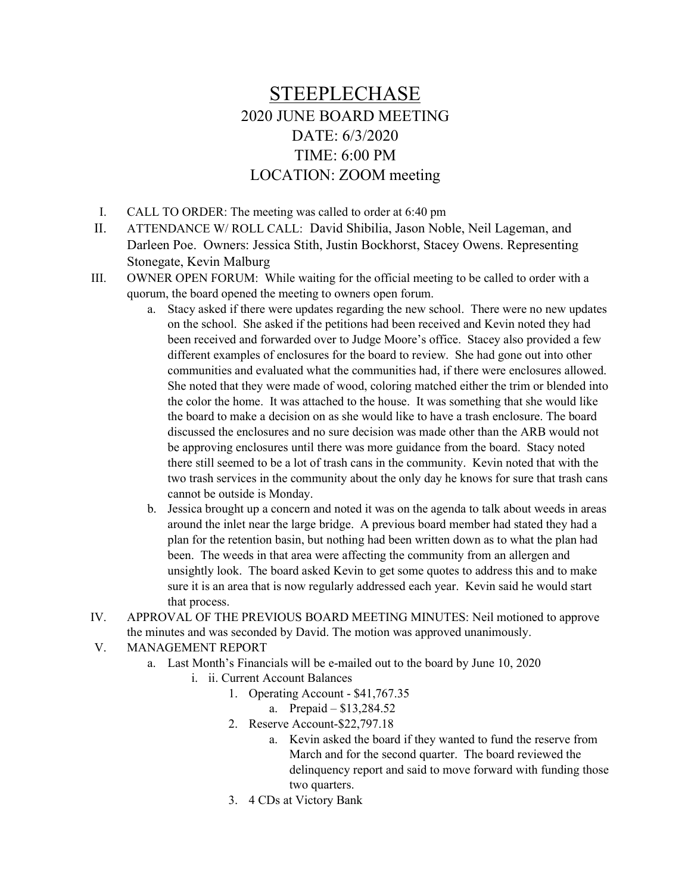## STEEPLECHASE 2020 JUNE BOARD MEETING DATE: 6/3/2020 TIME: 6:00 PM LOCATION: ZOOM meeting

- I. CALL TO ORDER: The meeting was called to order at 6:40 pm
- II. ATTENDANCE W/ ROLL CALL: David Shibilia, Jason Noble, Neil Lageman, and Darleen Poe. Owners: Jessica Stith, Justin Bockhorst, Stacey Owens. Representing Stonegate, Kevin Malburg
- III. OWNER OPEN FORUM: While waiting for the official meeting to be called to order with a quorum, the board opened the meeting to owners open forum.
	- a. Stacy asked if there were updates regarding the new school. There were no new updates on the school. She asked if the petitions had been received and Kevin noted they had been received and forwarded over to Judge Moore's office. Stacey also provided a few different examples of enclosures for the board to review. She had gone out into other communities and evaluated what the communities had, if there were enclosures allowed. She noted that they were made of wood, coloring matched either the trim or blended into the color the home. It was attached to the house. It was something that she would like the board to make a decision on as she would like to have a trash enclosure. The board discussed the enclosures and no sure decision was made other than the ARB would not be approving enclosures until there was more guidance from the board. Stacy noted there still seemed to be a lot of trash cans in the community. Kevin noted that with the two trash services in the community about the only day he knows for sure that trash cans cannot be outside is Monday.
	- b. Jessica brought up a concern and noted it was on the agenda to talk about weeds in areas around the inlet near the large bridge. A previous board member had stated they had a plan for the retention basin, but nothing had been written down as to what the plan had been. The weeds in that area were affecting the community from an allergen and unsightly look. The board asked Kevin to get some quotes to address this and to make sure it is an area that is now regularly addressed each year. Kevin said he would start that process.
- IV. APPROVAL OF THE PREVIOUS BOARD MEETING MINUTES: Neil motioned to approve the minutes and was seconded by David. The motion was approved unanimously.
- V. MANAGEMENT REPORT
	- a. Last Month's Financials will be e-mailed out to the board by June 10, 2020
		- i. ii. Current Account Balances
			- 1. Operating Account \$41,767.35
				- a. Prepaid \$13,284.52
			- 2. Reserve Account-\$22,797.18
				- a. Kevin asked the board if they wanted to fund the reserve from March and for the second quarter. The board reviewed the delinquency report and said to move forward with funding those two quarters.
			- 3. 4 CDs at Victory Bank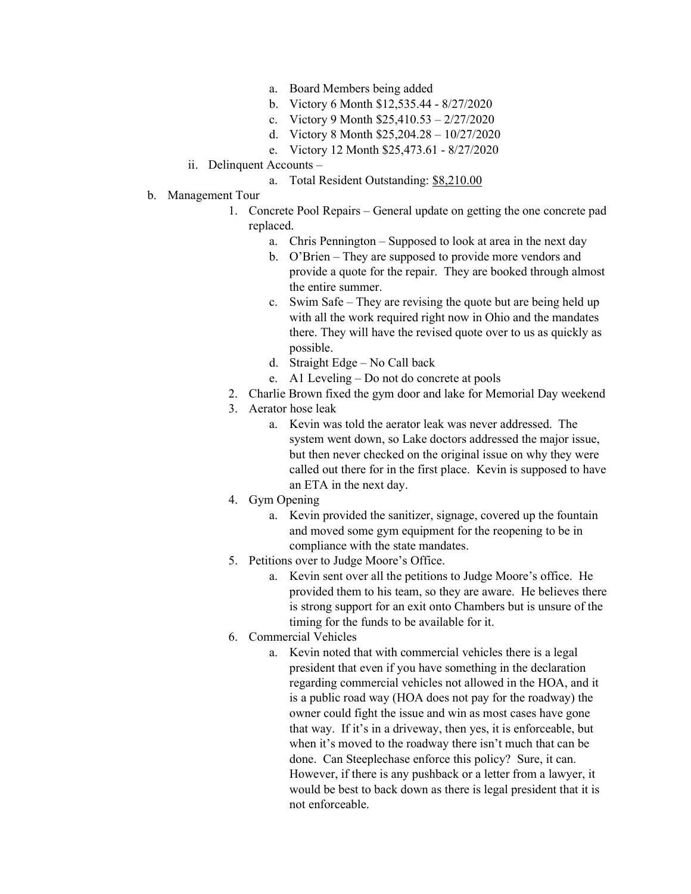- a. Board Members being added
- b. Victory 6 Month \$12,535.44 8/27/2020
- c. Victory 9 Month \$25,410.53 2/27/2020
- d. Victory 8 Month \$25,204.28 10/27/2020
- e. Victory 12 Month \$25,473.61 8/27/2020
- ii. Delinquent Accounts
	- a. Total Resident Outstanding: \$8,210.00
- b. Management Tour
	- 1. Concrete Pool Repairs General update on getting the one concrete pad replaced.
		- a. Chris Pennington Supposed to look at area in the next day
		- b. O'Brien They are supposed to provide more vendors and provide a quote for the repair. They are booked through almost the entire summer.
		- c. Swim Safe They are revising the quote but are being held up with all the work required right now in Ohio and the mandates there. They will have the revised quote over to us as quickly as possible.
		- d. Straight Edge No Call back
		- e. A1 Leveling Do not do concrete at pools
	- 2. Charlie Brown fixed the gym door and lake for Memorial Day weekend
	- 3. Aerator hose leak
		- a. Kevin was told the aerator leak was never addressed. The system went down, so Lake doctors addressed the major issue, but then never checked on the original issue on why they were called out there for in the first place. Kevin is supposed to have an ETA in the next day.
	- 4. Gym Opening
		- a. Kevin provided the sanitizer, signage, covered up the fountain and moved some gym equipment for the reopening to be in compliance with the state mandates.
	- 5. Petitions over to Judge Moore's Office.
		- a. Kevin sent over all the petitions to Judge Moore's office. He provided them to his team, so they are aware. He believes there is strong support for an exit onto Chambers but is unsure of the timing for the funds to be available for it.
	- 6. Commercial Vehicles
		- a. Kevin noted that with commercial vehicles there is a legal president that even if you have something in the declaration regarding commercial vehicles not allowed in the HOA, and it is a public road way (HOA does not pay for the roadway) the owner could fight the issue and win as most cases have gone that way. If it's in a driveway, then yes, it is enforceable, but when it's moved to the roadway there isn't much that can be done. Can Steeplechase enforce this policy? Sure, it can. However, if there is any pushback or a letter from a lawyer, it would be best to back down as there is legal president that it is not enforceable.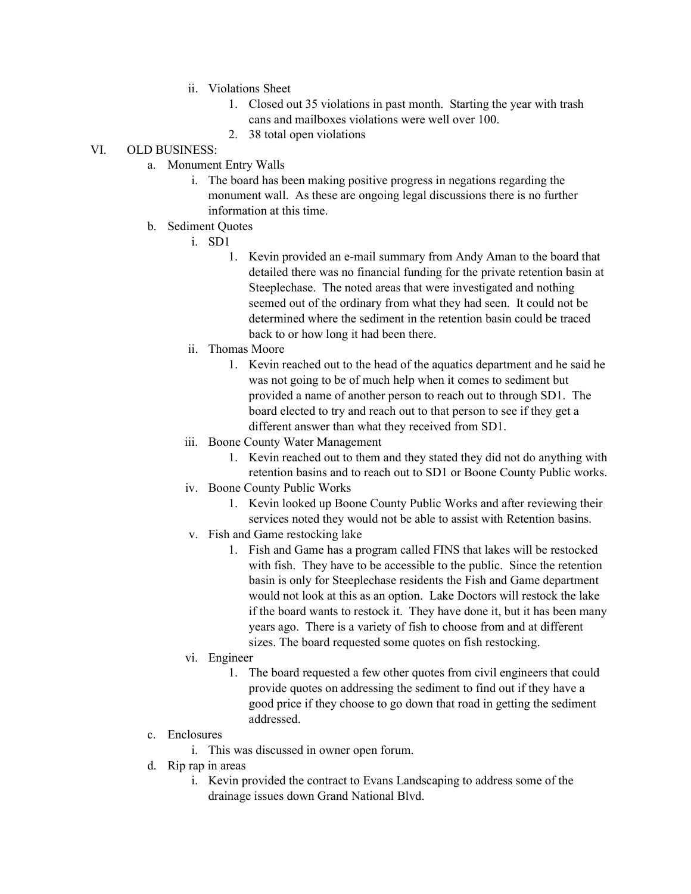- ii. Violations Sheet
	- 1. Closed out 35 violations in past month. Starting the year with trash cans and mailboxes violations were well over 100.
	- 2. 38 total open violations

## VI. OLD BUSINESS:

- a. Monument Entry Walls
	- i. The board has been making positive progress in negations regarding the monument wall. As these are ongoing legal discussions there is no further information at this time.
- b. Sediment Quotes
	- i. SD1
		- 1. Kevin provided an e-mail summary from Andy Aman to the board that detailed there was no financial funding for the private retention basin at Steeplechase. The noted areas that were investigated and nothing seemed out of the ordinary from what they had seen. It could not be determined where the sediment in the retention basin could be traced back to or how long it had been there.
	- ii. Thomas Moore
		- 1. Kevin reached out to the head of the aquatics department and he said he was not going to be of much help when it comes to sediment but provided a name of another person to reach out to through SD1. The board elected to try and reach out to that person to see if they get a different answer than what they received from SD1.
	- iii. Boone County Water Management
		- 1. Kevin reached out to them and they stated they did not do anything with retention basins and to reach out to SD1 or Boone County Public works.
	- iv. Boone County Public Works
		- 1. Kevin looked up Boone County Public Works and after reviewing their services noted they would not be able to assist with Retention basins.
	- v. Fish and Game restocking lake
		- 1. Fish and Game has a program called FINS that lakes will be restocked with fish. They have to be accessible to the public. Since the retention basin is only for Steeplechase residents the Fish and Game department would not look at this as an option. Lake Doctors will restock the lake if the board wants to restock it. They have done it, but it has been many years ago. There is a variety of fish to choose from and at different sizes. The board requested some quotes on fish restocking.
	- vi. Engineer
		- 1. The board requested a few other quotes from civil engineers that could provide quotes on addressing the sediment to find out if they have a good price if they choose to go down that road in getting the sediment addressed.
- c. Enclosures
	- i. This was discussed in owner open forum.
- d. Rip rap in areas
	- i. Kevin provided the contract to Evans Landscaping to address some of the drainage issues down Grand National Blvd.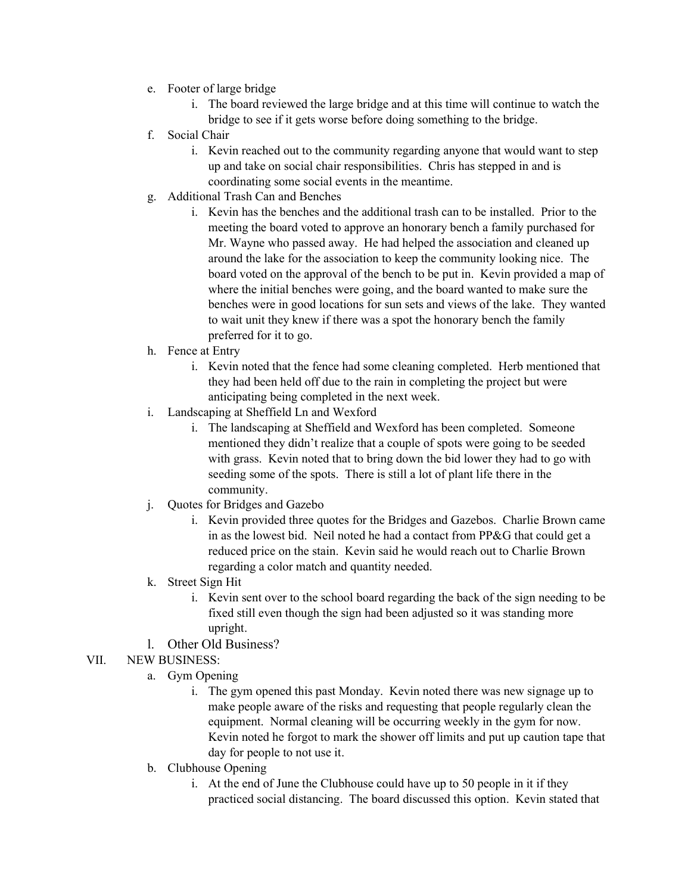- e. Footer of large bridge
	- i. The board reviewed the large bridge and at this time will continue to watch the bridge to see if it gets worse before doing something to the bridge.
- f. Social Chair
	- i. Kevin reached out to the community regarding anyone that would want to step up and take on social chair responsibilities. Chris has stepped in and is coordinating some social events in the meantime.
- g. Additional Trash Can and Benches
	- i. Kevin has the benches and the additional trash can to be installed. Prior to the meeting the board voted to approve an honorary bench a family purchased for Mr. Wayne who passed away. He had helped the association and cleaned up around the lake for the association to keep the community looking nice. The board voted on the approval of the bench to be put in. Kevin provided a map of where the initial benches were going, and the board wanted to make sure the benches were in good locations for sun sets and views of the lake. They wanted to wait unit they knew if there was a spot the honorary bench the family preferred for it to go.
- h. Fence at Entry
	- i. Kevin noted that the fence had some cleaning completed. Herb mentioned that they had been held off due to the rain in completing the project but were anticipating being completed in the next week.
- i. Landscaping at Sheffield Ln and Wexford
	- i. The landscaping at Sheffield and Wexford has been completed. Someone mentioned they didn't realize that a couple of spots were going to be seeded with grass. Kevin noted that to bring down the bid lower they had to go with seeding some of the spots. There is still a lot of plant life there in the community.
- j. Quotes for Bridges and Gazebo
	- i. Kevin provided three quotes for the Bridges and Gazebos. Charlie Brown came in as the lowest bid. Neil noted he had a contact from PP&G that could get a reduced price on the stain. Kevin said he would reach out to Charlie Brown regarding a color match and quantity needed.
- k. Street Sign Hit
	- i. Kevin sent over to the school board regarding the back of the sign needing to be fixed still even though the sign had been adjusted so it was standing more upright.
- l. Other Old Business?
- VII. NEW BUSINESS:
	- a. Gym Opening
		- i. The gym opened this past Monday. Kevin noted there was new signage up to make people aware of the risks and requesting that people regularly clean the equipment. Normal cleaning will be occurring weekly in the gym for now. Kevin noted he forgot to mark the shower off limits and put up caution tape that day for people to not use it.
	- b. Clubhouse Opening
		- i. At the end of June the Clubhouse could have up to 50 people in it if they practiced social distancing. The board discussed this option. Kevin stated that